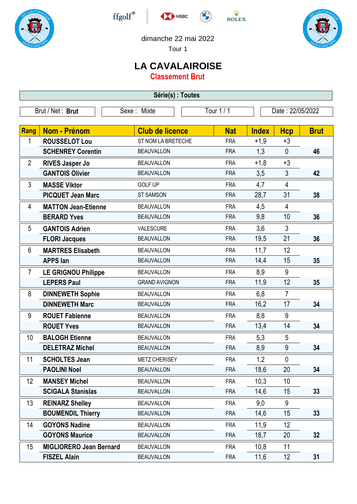









dimanche 22 mai 2022

Tour 1

## **LA CAVALAIROISE**

**Classement Brut**

| Série(s) : Toutes |                                |                        |            |                  |                |             |  |
|-------------------|--------------------------------|------------------------|------------|------------------|----------------|-------------|--|
|                   | Brut / Net: Brut               | Sexe: Mixte            | Tour 1/1   | Date: 22/05/2022 |                |             |  |
| Rang              | <b>Nom - Prénom</b>            | <b>Club de licence</b> | <b>Nat</b> | <b>Index</b>     | <b>Hcp</b>     | <b>Brut</b> |  |
| 1                 | <b>ROUSSELOT Lou</b>           | ST NOM LA BRETECHE     | <b>FRA</b> | $+1,9$           | $+3$           |             |  |
|                   | <b>SCHENREY Corentin</b>       | <b>BEAUVALLON</b>      | <b>FRA</b> | 1,3              | $\mathbf{0}$   | 46          |  |
| $\overline{2}$    | <b>RIVES Jasper Jo</b>         | <b>BEAUVALLON</b>      | <b>FRA</b> | $+1,8$           | $+3$           |             |  |
|                   | <b>GANTOIS Olivier</b>         | <b>BEAUVALLON</b>      | <b>FRA</b> | 3,5              | 3              | 42          |  |
| 3                 | <b>MASSE Viktor</b>            | <b>GOLF UP</b>         | <b>FRA</b> | 4,7              | $\overline{4}$ |             |  |
|                   | <b>PICQUET Jean Marc</b>       | <b>ST SAMSON</b>       | <b>FRA</b> | 28,7             | 31             | 38          |  |
| 4                 | <b>MATTON Jean-Etienne</b>     | <b>BEAUVALLON</b>      | <b>FRA</b> | 4,5              | 4              |             |  |
|                   | <b>BERARD Yves</b>             | <b>BEAUVALLON</b>      | <b>FRA</b> | 9,8              | 10             | 36          |  |
| 5                 | <b>GANTOIS Adrien</b>          | VALESCURE              | <b>FRA</b> | 3,6              | 3              |             |  |
|                   | <b>FLORI Jacques</b>           | <b>BEAUVALLON</b>      | <b>FRA</b> | 19,5             | 21             | 36          |  |
| 6                 | <b>MARTRES Elisabeth</b>       | <b>BEAUVALLON</b>      | <b>FRA</b> | 11,7             | 12             |             |  |
|                   | <b>APPS lan</b>                | <b>BEAUVALLON</b>      | <b>FRA</b> | 14,4             | 15             | 35          |  |
| $\overline{7}$    | <b>LE GRIGNOU Philippe</b>     | <b>BEAUVALLON</b>      | <b>FRA</b> | 8,9              | 9              |             |  |
|                   | <b>LEPERS Paul</b>             | <b>GRAND AVIGNON</b>   | <b>FRA</b> | 11,9             | 12             | 35          |  |
| 8                 | <b>DINNEWETH Sophie</b>        | <b>BEAUVALLON</b>      | <b>FRA</b> | 6,8              | $\overline{7}$ |             |  |
|                   | <b>DINNEWETH Marc</b>          | <b>BEAUVALLON</b>      | <b>FRA</b> | 16,2             | 17             | 34          |  |
| 9                 | <b>ROUET Fabienne</b>          | <b>BEAUVALLON</b>      | <b>FRA</b> | 8,8              | 9              |             |  |
|                   | <b>ROUET Yves</b>              | <b>BEAUVALLON</b>      | <b>FRA</b> | 13,4             | 14             | 34          |  |
| 10                | <b>BALOGH Etienne</b>          | <b>BEAUVALLON</b>      | <b>FRA</b> | 5,3              | 5              |             |  |
|                   | <b>DELETRAZ Michel</b>         | <b>BEAUVALLON</b>      | <b>FRA</b> | 8,9              | 9              | 34          |  |
| 11                | <b>SCHOLTES Jean</b>           | <b>METZ CHERISEY</b>   | <b>FRA</b> | 1,2              | $\mathbf 0$    |             |  |
|                   | <b>PAOLINI Noel</b>            | <b>BEAUVALLON</b>      | <b>FRA</b> | 18,6             | 20             | 34          |  |
| 12                | <b>MANSEY Michel</b>           | <b>BEAUVALLON</b>      | <b>FRA</b> | 10,3             | 10             |             |  |
|                   | <b>SCIGALA Stanislas</b>       | <b>BEAUVALLON</b>      | <b>FRA</b> | 14,6             | 15             | 33          |  |
| 13                | <b>REINARZ Shelley</b>         | <b>BEAUVALLON</b>      | <b>FRA</b> | 9,0              | 9              |             |  |
|                   | <b>BOUMENDIL Thierry</b>       | <b>BEAUVALLON</b>      | <b>FRA</b> | 14,6             | 15             | 33          |  |
| 14                | <b>GOYONS Nadine</b>           | <b>BEAUVALLON</b>      | <b>FRA</b> | 11,9             | 12             |             |  |
|                   | <b>GOYONS Maurice</b>          | <b>BEAUVALLON</b>      | <b>FRA</b> | 18,7             | 20             | 32          |  |
| 15                | <b>MIGLIORERO Jean Bernard</b> | <b>BEAUVALLON</b>      | <b>FRA</b> | 10,8             | 11             |             |  |
|                   | <b>FISZEL Alain</b>            | <b>BEAUVALLON</b>      | <b>FRA</b> | 11,6             | 12             | 31          |  |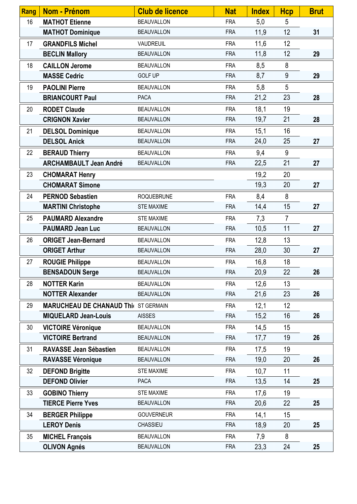| <b>Rang</b> | <b>Nom - Prénom</b>                         | <b>Club de licence</b> | <b>Nat</b> | <b>Index</b> | <b>Hcp</b>     | <b>Brut</b> |
|-------------|---------------------------------------------|------------------------|------------|--------------|----------------|-------------|
| 16          | <b>MATHOT Etienne</b>                       | <b>BEAUVALLON</b>      | <b>FRA</b> | 5,0          | 5              |             |
|             | <b>MATHOT Dominique</b>                     | <b>BEAUVALLON</b>      | <b>FRA</b> | 11,9         | 12             | 31          |
| 17          | <b>GRANDFILS Michel</b>                     | <b>VAUDREUIL</b>       | <b>FRA</b> | 11,6         | 12             |             |
|             | <b>BECLIN Mallory</b>                       | <b>BEAUVALLON</b>      | <b>FRA</b> | 11,8         | 12             | 29          |
| 18          | <b>CAILLON Jerome</b>                       | <b>BEAUVALLON</b>      | <b>FRA</b> | 8,5          | 8              |             |
|             | <b>MASSE Cedric</b>                         | <b>GOLF UP</b>         | <b>FRA</b> | 8,7          | 9              | 29          |
| 19          | <b>PAOLINI Pierre</b>                       | <b>BEAUVALLON</b>      | <b>FRA</b> | 5,8          | 5              |             |
|             | <b>BRIANCOURT Paul</b>                      | <b>PACA</b>            | <b>FRA</b> | 21,2         | 23             | 28          |
| 20          | <b>RODET Claude</b>                         | <b>BEAUVALLON</b>      | <b>FRA</b> | 18,1         | 19             |             |
|             | <b>CRIGNON Xavier</b>                       | <b>BEAUVALLON</b>      | <b>FRA</b> | 19,7         | 21             | 28          |
| 21          | <b>DELSOL Dominique</b>                     | <b>BEAUVALLON</b>      | <b>FRA</b> | 15,1         | 16             |             |
|             | <b>DELSOL Anick</b>                         | <b>BEAUVALLON</b>      | <b>FRA</b> | 24,0         | 25             | 27          |
| 22          | <b>BERAUD Thierry</b>                       | <b>BEAUVALLON</b>      | <b>FRA</b> | 9,4          | 9              |             |
|             | <b>ARCHAMBAULT Jean André</b>               | <b>BEAUVALLON</b>      | <b>FRA</b> | 22,5         | 21             | 27          |
| 23          | <b>CHOMARAT Henry</b>                       |                        |            | 19,2         | 20             |             |
|             | <b>CHOMARAT Simone</b>                      |                        |            | 19,3         | 20             | 27          |
| 24          | <b>PERNOD Sebastien</b>                     | <b>ROQUEBRUNE</b>      | <b>FRA</b> | 8,4          | 8              |             |
|             | <b>MARTINI Christophe</b>                   | <b>STE MAXIME</b>      | <b>FRA</b> | 14,4         | 15             | 27          |
| 25          | <b>PAUMARD Alexandre</b>                    | <b>STE MAXIME</b>      | <b>FRA</b> | 7,3          | $\overline{7}$ |             |
|             | <b>PAUMARD Jean Luc</b>                     | <b>BEAUVALLON</b>      | <b>FRA</b> | 10,5         | 11             | 27          |
| 26          | <b>ORIGET Jean-Bernard</b>                  | <b>BEAUVALLON</b>      | <b>FRA</b> | 12,8         | 13             |             |
|             | <b>ORIGET Arthur</b>                        | <b>BEAUVALLON</b>      | <b>FRA</b> | 28,0         | 30             | 27          |
| 27          | <b>ROUGIE Philippe</b>                      | <b>BEAUVALLON</b>      | <b>FRA</b> | 16,8         | 18             |             |
|             | <b>BENSADOUN Serge</b>                      | <b>BEAUVALLON</b>      | <b>FRA</b> | 20,9         | 22             | 26          |
| 28          | <b>NOTTER Karin</b>                         | <b>BEAUVALLON</b>      | <b>FRA</b> | 12,6         | 13             |             |
|             | <b>NOTTER Alexander</b>                     | <b>BEAUVALLON</b>      | <b>FRA</b> | 21,6         | 23             | 26          |
| 29          | <b>MARUCHEAU DE CHANAUD Thi( ST GERMAIN</b> |                        | <b>FRA</b> | 12,1         | 12             |             |
|             | <b>MIQUELARD Jean-Louis</b>                 | <b>AISSES</b>          | <b>FRA</b> | 15,2         | 16             | 26          |
| 30          | <b>VICTOIRE Véronique</b>                   | <b>BEAUVALLON</b>      | <b>FRA</b> | 14,5         | 15             |             |
|             | <b>VICTOIRE Bertrand</b>                    | <b>BEAUVALLON</b>      | <b>FRA</b> | 17,7         | 19             | 26          |
| 31          | RAVASSE Jean Sébastien                      | <b>BEAUVALLON</b>      | <b>FRA</b> | 17,5         | 19             |             |
|             | <b>RAVASSE Véronique</b>                    | <b>BEAUVALLON</b>      | <b>FRA</b> | 19,0         | 20             | 26          |
| 32          | <b>DEFOND Brigitte</b>                      | <b>STE MAXIME</b>      | <b>FRA</b> | 10,7         | 11             |             |
|             | <b>DEFOND Olivier</b>                       | PACA                   | <b>FRA</b> | 13,5         | 14             | 25          |
| 33          | <b>GOBINO Thierry</b>                       | <b>STE MAXIME</b>      | <b>FRA</b> | 17,6         | 19             |             |
|             | <b>TIERCE Pierre Yves</b>                   | <b>BEAUVALLON</b>      | <b>FRA</b> | 20,6         | 22             | 25          |
| 34          | <b>BERGER Philippe</b>                      | <b>GOUVERNEUR</b>      | <b>FRA</b> | 14,1         | 15             |             |
|             | <b>LEROY Denis</b>                          | CHASSIEU               | <b>FRA</b> | 18,9         | 20             | 25          |
| 35          | <b>MICHEL François</b>                      | <b>BEAUVALLON</b>      | <b>FRA</b> | 7,9          | 8              |             |
|             | <b>OLIVON Agnés</b>                         | <b>BEAUVALLON</b>      | <b>FRA</b> | 23,3         | 24             | 25          |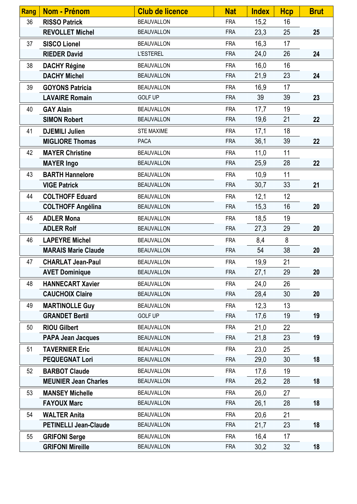| <b>Rang</b> | <b>Nom - Prénom</b>          | <b>Club de licence</b> | <b>Nat</b> | <b>Index</b> | <b>Hcp</b>      | <b>Brut</b> |
|-------------|------------------------------|------------------------|------------|--------------|-----------------|-------------|
| 36          | <b>RISSO Patrick</b>         | <b>BEAUVALLON</b>      | <b>FRA</b> | 15,2         | 16              |             |
|             | <b>REVOLLET Michel</b>       | <b>BEAUVALLON</b>      | <b>FRA</b> | 23,3         | 25              | 25          |
| 37          | <b>SISCO Lionel</b>          | <b>BEAUVALLON</b>      | <b>FRA</b> | 16,3         | 17              |             |
|             | <b>RIEDER David</b>          | <b>L'ESTEREL</b>       | <b>FRA</b> | 24,0         | 26              | 24          |
| 38          | <b>DACHY Régine</b>          | <b>BEAUVALLON</b>      | <b>FRA</b> | 16,0         | 16              |             |
|             | <b>DACHY Michel</b>          | <b>BEAUVALLON</b>      | <b>FRA</b> | 21,9         | 23              | 24          |
| 39          | <b>GOYONS Patricia</b>       | <b>BEAUVALLON</b>      | <b>FRA</b> | 16,9         | 17              |             |
|             | <b>LAVAIRE Romain</b>        | <b>GOLF UP</b>         | <b>FRA</b> | 39           | 39              | 23          |
| 40          | <b>GAY Alain</b>             | <b>BEAUVALLON</b>      | <b>FRA</b> | 17,7         | 19              |             |
|             | <b>SIMON Robert</b>          | <b>BEAUVALLON</b>      | <b>FRA</b> | 19,6         | 21              | 22          |
| 41          | <b>DJEMILI Julien</b>        | <b>STE MAXIME</b>      | <b>FRA</b> | 17,1         | 18              |             |
|             | <b>MIGLIORE Thomas</b>       | <b>PACA</b>            | <b>FRA</b> | 36,1         | 39              | 22          |
| 42          | <b>MAYER Christine</b>       | <b>BEAUVALLON</b>      | <b>FRA</b> | 11,0         | 11              |             |
|             | <b>MAYER Ingo</b>            | <b>BEAUVALLON</b>      | <b>FRA</b> | 25,9         | 28              | 22          |
| 43          | <b>BARTH Hannelore</b>       | <b>BEAUVALLON</b>      | <b>FRA</b> | 10,9         | 11              |             |
|             | <b>VIGE Patrick</b>          | <b>BEAUVALLON</b>      | <b>FRA</b> | 30,7         | 33              | 21          |
| 44          | <b>COLTHOFF Eduard</b>       | <b>BEAUVALLON</b>      | <b>FRA</b> | 12,1         | 12              |             |
|             | <b>COLTHOFF Angélina</b>     | <b>BEAUVALLON</b>      | <b>FRA</b> | 15,3         | 16              | 20          |
| 45          | <b>ADLER Mona</b>            | <b>BEAUVALLON</b>      | <b>FRA</b> | 18,5         | 19              |             |
|             | <b>ADLER Rolf</b>            | <b>BEAUVALLON</b>      | <b>FRA</b> | 27,3         | 29              | 20          |
| 46          | <b>LAPEYRE Michel</b>        | <b>BEAUVALLON</b>      | <b>FRA</b> | 8,4          | 8               |             |
|             | <b>MARAIS Marie Claude</b>   | <b>BEAUVALLON</b>      | <b>FRA</b> | 54           | 38              | 20          |
| 47          | <b>CHARLAT Jean-Paul</b>     | <b>BEAUVALLON</b>      | <b>FRA</b> | 19,9         | 21              |             |
|             | <b>AVET Dominique</b>        | <b>BEAUVALLON</b>      | <b>FRA</b> | 27,1         | 29              | 20          |
| 48          | <b>HANNECART Xavier</b>      | <b>BEAUVALLON</b>      | <b>FRA</b> | 24,0         | 26              |             |
|             | <b>CAUCHOIX Claire</b>       | <b>BEAUVALLON</b>      | <b>FRA</b> | 28,4         | 30              | 20          |
| 49          | <b>MARTINOLLE Guy</b>        | <b>BEAUVALLON</b>      | <b>FRA</b> | 12,3         | 13              |             |
|             | <b>GRANDET Bertil</b>        | <b>GOLF UP</b>         | <b>FRA</b> | 17,6         | 19              | 19          |
| 50          | <b>RIOU Gilbert</b>          | <b>BEAUVALLON</b>      | <b>FRA</b> | 21,0         | 22              |             |
|             | <b>PAPA Jean Jacques</b>     | <b>BEAUVALLON</b>      | <b>FRA</b> | 21,8         | 23              | 19          |
| 51          | <b>TAVERNIER Eric</b>        | <b>BEAUVALLON</b>      | <b>FRA</b> | 23,0         | 25              |             |
|             | <b>PEQUEGNAT Lori</b>        | <b>BEAUVALLON</b>      | <b>FRA</b> | 29,0         | 30              | 18          |
| 52          | <b>BARBOT Claude</b>         | <b>BEAUVALLON</b>      | <b>FRA</b> | 17,6         | 19              |             |
|             | <b>MEUNIER Jean Charles</b>  | <b>BEAUVALLON</b>      | <b>FRA</b> | 26,2         | 28              | 18          |
| 53          | <b>MANSEY Michelle</b>       | <b>BEAUVALLON</b>      | <b>FRA</b> | 26,0         | 27              |             |
|             | <b>FAYOUX Marc</b>           | <b>BEAUVALLON</b>      | <b>FRA</b> | 26,1         | 28              | 18          |
| 54          | <b>WALTER Anita</b>          | <b>BEAUVALLON</b>      | <b>FRA</b> | 20,6         | 21              |             |
|             | <b>PETINELLI Jean-Claude</b> | <b>BEAUVALLON</b>      | <b>FRA</b> | 21,7         | 23              | 18          |
| 55          | <b>GRIFONI Serge</b>         | <b>BEAUVALLON</b>      | <b>FRA</b> | 16,4         | 17              |             |
|             | <b>GRIFONI Mireille</b>      | <b>BEAUVALLON</b>      | <b>FRA</b> | 30,2         | 32 <sub>2</sub> | 18          |